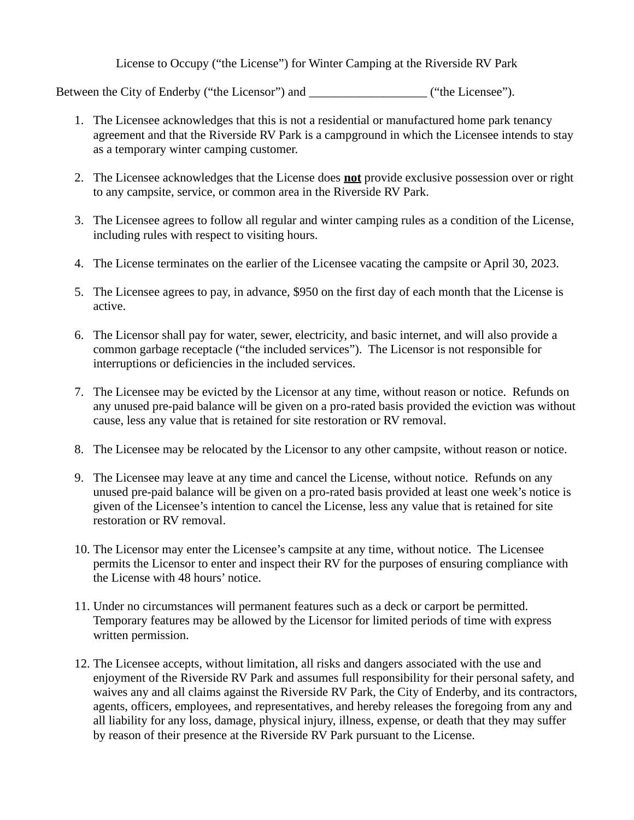License to Occupy ("the License") for Winter Camping at the Riverside RV Park

Between the City of Enderby ("the Licensor") and \_\_\_\_\_\_\_\_\_\_\_\_\_\_\_\_\_\_\_\_\_\_\_\_\_\_\_\_\_\_\_\_("the Licensee").

- 1. The Licensee acknowledges that this is not a residential or manufactured home park tenancy agreement and that the Riverside RV Park is a campground in which the Licensee intends to stay as a temporary winter camping customer.
- 2. The Licensee acknowledges that the License does **not** provide exclusive possession over or right to any campsite, service, or common area in the Riverside RV Park.
- 3. The Licensee agrees to follow all regular and winter camping rules as a condition of the License, including rules with respect to visiting hours.
- 4. The License terminates on the earlier of the Licensee vacating the campsite or April 30, 2023.
- 5. The Licensee agrees to pay, in advance, \$950 on the first day of each month that the License is active.
- 6. The Licensor shall pay for water, sewer, electricity, and basic internet, and will also provide a common garbage receptacle ("the included services"). The Licensor is not responsible for interruptions or deficiencies in the included services.
- 7. The Licensee may be evicted by the Licensor at any time, without reason or notice. Refunds on any unused pre-paid balance will be given on a pro-rated basis provided the eviction was without cause, less any value that is retained for site restoration or RV removal.
- 8. The Licensee may be relocated by the Licensor to any other campsite, without reason or notice.
- 9. The Licensee may leave at any time and cancel the License, without notice. Refunds on any unused pre-paid balance will be given on a pro-rated basis provided at least one week's notice is given of the Licensee's intention to cancel the License, less any value that is retained for site restoration or RV removal.
- 10. The Licensor may enter the Licensee's campsite at any time, without notice. The Licensee permits the Licensor to enter and inspect their RV for the purposes of ensuring compliance with the License with 48 hours' notice.
- 11. Under no circumstances will permanent features such as a deck or carport be permitted. Temporary features may be allowed by the Licensor for limited periods of time with express written permission.
- 12. The Licensee accepts, without limitation, all risks and dangers associated with the use and enjoyment of the Riverside RV Park and assumes full responsibility for their personal safety, and waives any and all claims against the Riverside RV Park, the City of Enderby, and its contractors, agents, officers, employees, and representatives, and hereby releases the foregoing from any and all liability for any loss, damage, physical injury, illness, expense, or death that they may suffer by reason of their presence at the Riverside RV Park pursuant to the License.